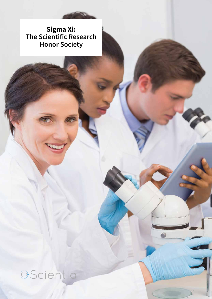**Sigma Xi: The Scientific Research Honor Society**

Scientia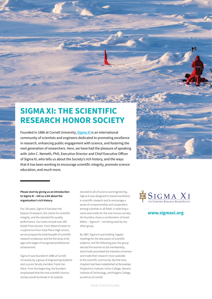# **SIGMA XI: THE SCIENTIFIC RESEARCH HONOR SOCIETY**

Founded in 1886 at Cornell University, **[Sigma Xi](https://www.sigmaxi.org)** is an international community of scientists and engineers dedicated to promoting excellence in research, enhancing public engagement with science, and fostering the next generation of researchers. Here, we have had the pleasure of speaking with John C. Nemeth, PhD, Executive Director and Chief Executive Officer of Sigma Xi, who tells us about the Society's rich history, and the ways that it has been working to encourage scientific integrity, promote science education, and much more.



### **Please start by giving us an introduction to Sigma Xi – tell us a bit about the organisation's rich history.**

For 130 years, Sigma Xi has been the beacon of research, the clarion for scientific integrity, and the standard for quality performance. Our ranks include over 200 Nobel Prize winners. From Albert Einstein to a sophomore from East Plano High school, we encompass the total breadth of scientific research endeavour and the full array of all ages and stages of recognised professional achievement.

Sigma Xi was founded in 1886 at Cornell University by a group of engineering students and a junior faculty member, Frank Van Vleck. From the beginning, the founders emphasised that the new scientific honour society would be broad in its outlook,

devoted to all of science and engineering. Sigma Xi was designed to reward excellence in scientific research and to encourage a sense of companionship and cooperation among scientists in all fields. In selecting a name and motto for the new honour society, the founders chose a combination of Greek letters – Sigma Xi – not being used by any other group.

By 1887, Sigma Xi was holding 'regular meetings for the discussion of scientific subjects', and the following year, the group elected five women to full membership, which both promoted the interests of women and made their research more available to the scientific community. By that time, chapters had been established at Rensselaer Polytechnic Institute, Union College, Stevens Institute of Technology, and Rutgers College, as well as at Cornell.



## **www.sigmaxi.org**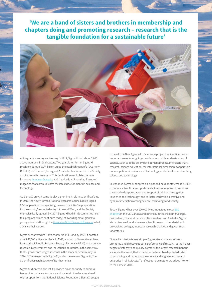**'We are a band of sisters and brothers in membership and chapters doing and promoting research – research that is the tangible foundation for a sustainable future'**



At its quarter-century anniversary in 1911, Sigma Xi had about 2,000 active members in 28 chapters. Two years later, former Sigma Xi president Samuel W. Williston urged the establishment of a 'Quarterly Bulletin', which would, he argued, 'create further interest in the Society and increase its usefulness'. This publication would later become known as *[American Scientist](http://www.americanscientist.org)*, which today is a bimonthly, illustrated magazine that communicates the latest developments in science and technology.

As Sigma Xi grew, it came to play a prominent role in scientific affairs. In 1916, the newly-formed National Research Council asked Sigma Xi's 'cooperation...in organising...research facilities' in preparation for the country's expected entry into World War I, and the Society enthusiastically agreed. By 1927, Sigma Xi had firmly committed itself to a program (which continues today) of awarding small grants to young scientists through th[e Grants-in-Aid of Research Program](https://www.sigmaxi.org/programs/grants-in-aid) to help advance their careers.

Sigma Xi chartered its 100th chapter in 1948, and by 1950, it boasted about 42,000 active members. In 1947, a group of Sigma Xi members formed the Scientific Research Society of America (RESA) to encourage research in government and industrial laboratories, in the same way that Sigma Xi encouraged research in the academic community. In 1974, RESA merged with Sigma Xi, under the name of Sigma Xi, The Scientific Research Society of North America.

Sigma Xi's Centennial in 1986 provided an opportunity to address issues of importance to science and society in the decades ahead. With support from the National Science Foundation, Sigma Xi sought to develop 'A New Agenda for Science', a project that identified seven important areas for ongoing consideration: public understanding of science, science in the policy development process, interdisciplinary research, science education, the international dimension, cooperationnot competition-in science and technology, and ethical issues involving science and technology.

In response, Sigma Xi adopted an expanded mission statement in 1989: to honour scientific accomplishments, to encourage and to enhance the worldwide appreciation and support of original investigation in science and technology, and to foster worldwide a creative and dynamic interaction among science, technology and society.

Today, Sigma Xi has over 100,000 living inductees in over [500](https://www.sigmaxi.org/chapters/join-a-chapter)  [chapters](https://www.sigmaxi.org/chapters/join-a-chapter) in the US, Canada and other countries, including Georgia, Switzerland, Thailand, Lebanon, New Zealand and Australia. Sigma Xi chapters are found wherever scientific research is undertaken in universities, colleges, industrial research facilities and government laboratories.

Sigma Xi's mission is very simple. Sigma Xi encourages, actively promotes, and directly supports performance of research at the highest degree of integrity and quality. Sigma Xi, the largest research honour society in the world, that is our inducted membership, is dedicated to enhancing and protecting the science and engineering research enterprise in all its facets. To reflect our true nature, we added 'Honor' to the name in 2016.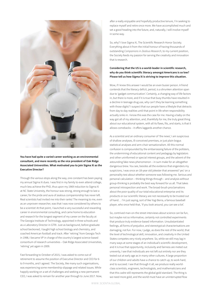

**You have had quite a varied career working as an environmental consultant, and more recently as the vice president of Oak Ridge Associated Universities. What motivated you to join Sigma Xi as the Executive Director?** 

Through the various stops along the way, one constant has been paying my annual Sigma Xi dues. I was first in my family to even attend college, much less achieve the PhD, thus upon my 1969 induction to Sigma Xi at NC State University, the honour was strong, strong enough to last a career, for the pride and aura of zealous companionship has never left. Real scientists had invited me into their ranks! The meaning to me, even as an unproven researcher, was that I was now considered by others to be a scientist! At that point, I launched a very successful and rewarding career in environmental consulting, and came home to education and research for the longest segment of my career on the faculty at The Georgia Institute of Technology, appointed in three schools and as a Laboratory Director in GTRI. Just as background, before graduate school beckoned, I taught high school biology and chemistry, and coached American football and track. After 'retiring' from Georgia Tech in 1998, I became VP in charge of the country's largest science-based consortium of research universities – Oak Ridge Associated Universities, 'retiring' yet again in 2009.

Fast forwarding to October of 2015, I was asked to come out of retirement to assume the position of Executive Director and CEO for 6 to 9 months, and I agreed. The Society, like many such organisations, was experiencing some membership slippage and related issues. While happily working on a set of challenges and seeking a new permanent CEO, I was asked to remain for another year through to June 2017. Now, after a really enjoyable and hopefully productive tenure, I'm seeking to replace myself and retire once more. We have accomplished much and set a good heading into the future, and, naturally, I will involve myself in some way.

So, why? I love Sigma Xi, The Scientific Research Honor Society. Everything about it from the initial honour of having thousands of outstanding *Companions in Zealous Research*, to my current position, the Society feeds my passion for serving the creativity and innovation that is research.

## **Considering that the US is a world-leader in scientific research, why do you think scientific literacy amongst Americans is so low? Please tell us how Sigma Xi is striving to improve this situation.**

Wow, if I knew this answer I would be an even busier person. A friend contends that the literacy deficit, period, is a shrunken attention span due to 'gadget communication'. Certainly, a changing way of life factors in, but there is more, and if it is true that busy thumbs have resulted in a decline in teenage drug use, why can't they be learning something with those digits? I suspect that our people have a lifestyle that detracts from day to day realities until that point in life when responsibility actually sinks in. I know this was the case for me. Having a baby on the way got all of my attention, and, thankfully for me, the truly great thing about our educational system, with all its flaws, fits, and starts, is that it allows comebacks – it offers laggards another chance.

As a scientist and an ordinary consumer of 'the news', I am suspicious of shallow analyses, ill-conceived premises, or just plain bogus statistical analyses and arm-chair sensationalism. All this normal confusion is compounded by the embarrassing failure of the pollsters, the undermining of educational content and pedagogy by legislators and other uninformed or special interest groups, and the advent of the astounding fake news phenomenon – in sum make for an altogether dangerous brew. You see, besides all the evidence that engenders my suspicions, I was once an 18-year old jokester that answered 'yes' on a personality test about whether someone was following me. Serious and personal calculation – thinking things through – and analysis without group-thinking is probably the best way forward for us all. That takes personal introspection and work. The broad-brush proclamations about the poor quality of our total educational enterprise and its products or our scientific literacy are not necessarily to be trusted out of hand… I'm just saying, sort of like Yogi Berra, a famous baseball player, who once held that, 'if you look around, you can see a lot'.

So, contrived man-on-the street interviews about science can be fun, but maybe not so informative, certainly not controlled experiments that produce truly evidence-based information. Unsubstantiated feelings, all forms of prejudice, and stereotypical characterisations are damaging, not fun. For now, I judge, as does the rest of the world, that the level of technological skill, innovation, and creativity in the United States competes very nicely anywhere. So, while we still may lag in many ways at some stages of an individual's scientific development, and it is true that opportunity, inclusivity and fairness are meted out unevenly, I see that individuals are not left out entirely nor are they tested out at early age as in many other cultures. A large proportion of our children and adults have a chance to catch up, to work hard, and to succeed. I see that through it all, we produce really worldclass scientists, engineers, technologists, and mathematicians and that this cadre still represents the global gold standard. The thing is we need more gold, and the world must have an uninterrupted flow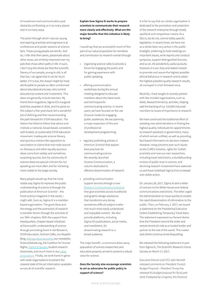of investment and communication past obstacles confronting us in so many places and in so many ways.

The prism through which I see our young and aspiring scientists and engineers is at conferences and poster sessions at science fairs. These young people are terrific. And so, I infer that their peers, passionate about other areas, are similarly improved over my pals that chose other paths in life. In sum, I don't buy the whole pie that the scientific literacy of our people, young to old, is all that low. I do agree that it can be much better. If it is low, the reason might be most attributable to people so often uninformed about educational process, who control educational content and investment. This does not generally include teachers. My friend Norm Augustine, Sigma Xi's inaugural Gold Key awardee in 2016, and his panel on this subject a few years back did a wonderful job of defining and then recommending the path forward for STEM education. The Nation has failed to follow that advice and institute a national, broad-based, consistent, well-funded, or sustainable STEM education movement. Inadequate science literacy and spurious notions like opposition to vaccination or claims that man rode around on dinosaurs and other equally spurious ideas come from widely and sometimes surprising sources, but my community of science deserves special criticism for not speaking out more often and for not being more visible to the larger society.

Many people would say that the most visible way Sigma Xi improves the public understanding of science is through the publication of *American Scientist* – the finest science magazine in the world, I might add. Even so, Sigma Xi is a memberbased organisation. The good ideas and the energy and the promotion of research is member driven through the activities of our 500+ chapters. With the support from headquarters, chapter-based initiatives achieve public understanding of science through promoting Grant In Aid Research, STEM education, Science Cafés, our KeyedIn Blog, [distinguished lecturers,](https://www.sigmaxi.org/programs/lectureships) our newsletter, ScienceDebate.org, the Coalition for Human Rights, [Sigma Xi Speaks,](https://www.sigmaxi.org/news/keyed-in/-in-tags/tags/Sigma-Xi-Speaks) student research showcases, and much more in our [value](https://www.sigmaxi.org/news/keyed-in/-in-tags/tags/Sigma-Xi-Speaks)  [proposition.](https://www.sigmaxi.org/news/keyed-in/-in-tags/tags/Sigma-Xi-Speaks) Finally, we work hand-in-glove with sister organisations to present the clearest state of the art information available across all of scientific research.

**Explain how Sigma Xi works to prepare scientists to communicate their research more clearly and effectively. What are the major benefits that this initiative is likely to bring?**

I would say that we accomplish much of this part of our value proposition for members and contribution to research overall through:

- organising science cafes to provide a forum for engaging the public and for gaining experience with public speaking.
- offering communication workshops during the annual meeting designed to educate members about the latest tools and techniques for communicating science. In recent years, we have focused on the use of social media for engaging public audiences. We are planning a major expansion of this sort of professional development programming.
- regularly publishing articles in *American Scientist* that explain best practices for communicating science. We recently launched Science Communication, a column dedicated to effective dissemination of research.
- providing communication support services through a new [Research Communication Initiative](https://www.sigmaxi.org/programs/research-communications-initiative) that give scientists access to editorial and graphic design assistance that transforms very dense, sometimes difficult subject matter into much more easily understood and enjoyable content . We also provide platforms, including Sigma Xi's publications, social media, and newsletters, for disseminating research to a broad audience.

The major benefit...a communication-savvy population of science researchers and educators properly armed to present a robust voice for science.

## **Does the Society also encourage scientists to act as advocates for public policy in support of science?**

It is fair to say that our whole organisation is dedicated to the promotion and protection of the research enterprise through totally apolitical and nonpartisan means. As a 501c3, we do not, cannot lobby specific legislation. In recent times, we have not as a whole been very active in the public limelight, preferring to hold meetings on important issues, write reports and conduct symposia, support distinguished lectures, and so on. All wonderfully useful pursuits; however, it is our duty and stated mission to promote and assure the highest possible ethical behaviour in research and to attain the highest possible quality research results; all conveyed in a full-throated voice.

Recently, I have sought to actively partner with like-minded organisations, such as AAAS, Research!America, and AAU, helping add the backing of our 110,000 inducted members to issues of importance to research.

We have continued the traditional effort of assisting new administrations in finding the highest quality individuals for appointments to research positions in government, many of which remain unfilled, as well as providing fact-based information to decision-makers. However, rising concerns over such issues as the CURES initiative, rights for Turkish scientists and now our own researchers, including travel restrictions, a dumbfounding erosion of public trust in science, and declining research investment have wakened us and have mobilised Sigma Xi to increased and visible action.

On January 26, 2017, Sigma Xi sent a letter of concern to the White House over federal communications restrictions. The letter urged the Administration to move quickly to enable the rapid dissemination of information to the public. Then, on February 1, 2017, we issued a statement on the Presidential Executive Orders Establishing Temporary Travel Bans. The statement expressed our fervent desire that the President rescind the order and restore America's role as a trusted leader and partner to the rest of the world. This matter and others continue to be disquieting.

We released the following statement in part from Sigma Xi, The Scientific Research Honor Society on March 17, 2017.

*Executive Director and CEO John Nemeth released comments on President Trump's Budget Proposal – President Trump has released his budget proposal for fiscal year 2018. If adopted by Congress, this financial*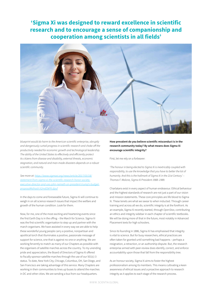**'Sigma Xi was designed to reward excellence in scientific research and to encourage a sense of companionship and cooperation among scientists in all fields'**



*blueprint would do harm to the American scientific enterprise, abruptly and dangerously curtail progress in scientific research and choke off the productivity needed for economic growth and technological leadership. The ability of the United States to effectively and efficiently protect its citizens from disease and disability, external threats, economic stagnation, and natural and man-made disasters depends on a robust scientific community.* 

*See more at: [https://www.sigmaxi.org/news/article/2017/03/18/](https://www.sigmaxi.org/news/article/2017/03/18/statement-from-sigma-xi-the-scientific-research-honor-society-executive-director-and-ceo-john-nemeth-on-president-trump%27s-budget-proposal%252523sthash.h2mdOkFK.dpuf) [statement-from-sigma-xi-the-scientific-research-honor-society](https://www.sigmaxi.org/news/article/2017/03/18/statement-from-sigma-xi-the-scientific-research-honor-society-executive-director-and-ceo-john-nemeth-on-president-trump%27s-budget-proposal%252523sthash.h2mdOkFK.dpuf)[executive-director-and-ceo-john-nemeth-on-president-trump's-budget](https://www.sigmaxi.org/news/article/2017/03/18/statement-from-sigma-xi-the-scientific-research-honor-society-executive-director-and-ceo-john-nemeth-on-president-trump%27s-budget-proposal%252523sthash.h2mdOkFK.dpuf)[proposal#sthash.h2mdOkFK.dpuf](https://www.sigmaxi.org/news/article/2017/03/18/statement-from-sigma-xi-the-scientific-research-honor-society-executive-director-and-ceo-john-nemeth-on-president-trump%27s-budget-proposal%252523sthash.h2mdOkFK.dpuf)*

In the days to come and foreseeable future, Sigma Xi will continue to weigh in on all science research issues that impact the welfare and growth of the human condition. Look for them.

Now, for me, one of the most exciting and heartening events since the first Earth Day is in the offing – the March for Science. Sigma Xi was the first scientific organisation to step up and partner with the march organisers. We have assisted in every way we are able to help these wonderful young people carry a positive, nonpartisan and apolitical torch that illuminates a positive, passionate message of support for science, one that is against no one or anything. We are working fervently to match as many of our Chapters as possible with the organisers of satellite marches across the country. To my unending pride and appreciation, the Board of Directors of Sigma Xi offered to fiscally sponsor satellite marches through the use of our 501(c) 3 status. To date, New York City, Chicago, Columbus, OH, San Diego, and San Francisco are taking advantage of this service. Many Chapters are working in their communities to lines up buses to attend the marches in DC and other cities. We are sending a bus from our headquarters.

**How prevalent do you believe scientific misconduct is in the research community today? By what means does Sigma Xi encourage scientific integrity?**

First, let me rely on a forbearer:

*'The honour in being elected to Sigma Xi is inextricably coupled with responsibility, to use the knowledge that you have to better the lot of humanity. And this is the hallmark of Sigma Xi in the 21st Century.' – Thomas F. Malone, Sigma Xi President 1988–1989.*

Charlatans exist in every aspect of human endeavour. Ethical behaviour and the highest standards of research are not just a part of our vision and mission statements. These core principles are life blood to Sigma Xi. These tenets are what we swear to when inducted. Through career training and across all we do, scientific integrity is at the forefront. As an example, Sigma Xi recently started, through *OpenStax*, contributing an ethics and integrity sidebar in each chapter of scientific textbooks. We will be doing more of that in the future, most notably in Advanced Placement texts for high schoolers.

Since its founding in 1886, Sigma Xi has emphasised that integrity is vital to science. But for busy researchers, ethical practices are often taken for granted until something bad happens – perhaps a resignation, a retraction, or an authorship dispute. But, the research enterprise armed with peer-review does identify, correct, and enforce accountability upon those that fall from the responsibility tree.

As an honour society, Sigma Xi aims to foster the highest professionalism among its members. This means cultivating a keen awareness of ethical issues and a proactive approach to research integrity as it applies to each stage of the research process.